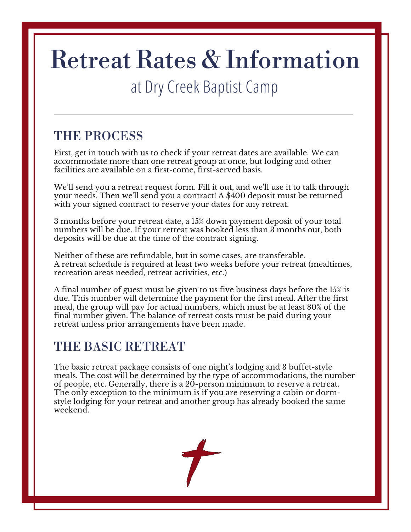# Retreat Rates & Information

## at Dry Creek Baptist Camp

## THE PROCESS

First, get in touch with us to check if your retreat dates are available. We can accommodate more than one retreat group at once, but lodging and other facilities are available on a first-come, first-served basis.

We'll send you a retreat request form. Fill it out, and we'll use it to talk through your needs. Then we'll send you a contract! A \$400 deposit must be returned with your signed contract to reserve your dates for any retreat.

3 months before your retreat date, a 15% down payment deposit of your total numbers will be due. If your retreat was booked less than 3 months out, both deposits will be due at the time of the contract signing.

Neither of these are refundable, but in some cases, are transferable. A retreat schedule is required at least two weeks before your retreat (mealtimes, recreation areas needed, retreat activities, etc.)

A final number of guest must be given to us five business days before the 15% is due. This number will determine the payment for the first meal. After the first meal, the group will pay for actual numbers, which must be at least 80% of the final number given. The balance of retreat costs must be paid during your retreat unless prior arrangements have been made.

## THE BASIC RETREAT

The basic retreat package consists of one night's lodging and 3 buffet-style meals. The cost will be determined by the type of accommodations, the number of people, etc. Generally, there is a 20-person minimum to reserve a retreat. The only exception to the minimum is if you are reserving a cabin or dormstyle lodging for your retreat and another group has already booked the same weekend.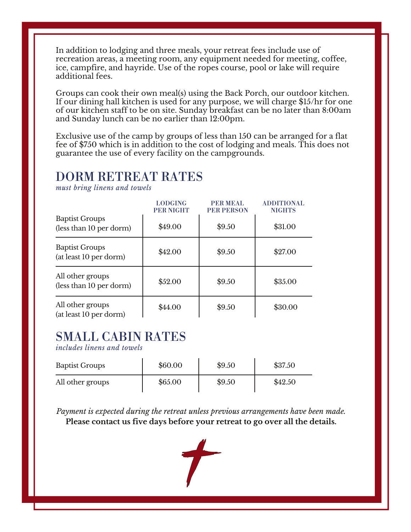In addition to lodging and three meals, your retreat fees include use of recreation areas, a meeting room, any equipment needed for meeting, coffee, ice, campfire, and hayride. Use of the ropes course, pool or lake will require additional fees.

Groups can cook their own meal(s) using the Back Porch, our outdoor kitchen. If our dining hall kitchen is used for any purpose, we will charge \$15/hr for one of our kitchen staff to be on site. Sunday breakfast can be no later than 8:00am and Sunday lunch can be no earlier than 12:00pm.

Exclusive use of the camp by groups of less than 150 can be arranged for a flat fee of \$750 which is in addition to the cost of lodging and meals. This does not guarantee the use of every facility on the campgrounds.

#### DORM RETREAT RATES

*must bring linens and towels*

|                                                  | <b>LODGING</b><br><b>PER NIGHT</b> | <b>PER MEAL</b><br><b>PER PERSON</b> | <b>ADDITIONAL</b><br><b>NIGHTS</b> |
|--------------------------------------------------|------------------------------------|--------------------------------------|------------------------------------|
| <b>Baptist Groups</b><br>(less than 10 per dorm) | \$49.00                            | \$9.50                               | \$31.00                            |
| <b>Baptist Groups</b><br>(at least 10 per dorm)  | \$42.00                            | \$9.50                               | \$27.00                            |
| All other groups<br>(less than 10 per dorm)      | \$52.00                            | \$9.50                               | \$35.00                            |
| All other groups<br>(at least 10 per dorm)       | \$44.00                            | \$9.50                               | \$30.00                            |

## SMALL CABIN RATES

*includes linens and towels*

| <b>Baptist Groups</b> | \$60.00 | \$9.50 | \$37.50 |
|-----------------------|---------|--------|---------|
| All other groups      | \$65.00 | \$9.50 | \$42.50 |

*Payment is expected during the retreat unless previous arrangements have been made.* **Please contact us five days before your retreat to go over all the details.**